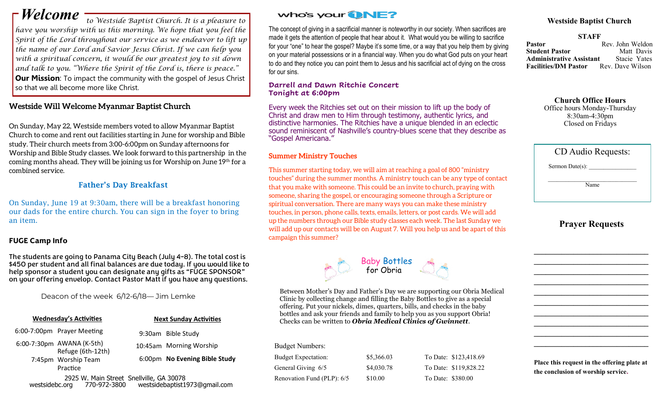*have you worship with us this morning. We hope that you feel the Spirit of the Lord throughout our service as we endeavor to lift up the name of our Lord and Savior Jesus Christ. If we can help you with a spiritual concern, it would be our greatest joy to sit down and talk to you. "Where the Spirit of the Lord is, there is peace."*  **Our Mission:** To impact the community with the gospel of Jesus Christ so that we all become more like Christ.

### **Westside Will Welcome Myanmar Baptist Church**

On Sunday, May 22, Westside members voted to allow Myanmar Baptist Church to come and rent out facilities starting in June for worship and Bible study. Their church meets from 3:00-6:00pm on Sunday afternoons for Worship and Bible Study classes. We look forward to this partnership in the coming months ahead. They will be joining us for Worship on June 19th for a combined service.

### Father's Day Breakfast

On Sunday, June 19 at 9:30am, there will be a breakfast honoring our dads for the entire church. You can sign in the foyer to bring an item.

### **FUGE Camp Info**

The students are going to Panama City Beach (July 4-8). The total cost is \$450 per student and all final balances are due today. If you would like to help sponsor a student you can designate any gifts as "FUGE SPONSOR" on your offering envelop. Contact Pastor Matt if you have any questions.

Deacon of the week 6/12-6/18— Jim Lemke

| <b>Wednesday's Activities</b>            | <b>Next Sunday Activities</b> |  |  |
|------------------------------------------|-------------------------------|--|--|
| 6:00-7:00pm Prayer Meeting               | 9:30am Bible Study            |  |  |
| 6:00-7:30pm AWANA (K-5th)                | 10:45am Morning Worship       |  |  |
| Refuge (6th-12th)<br>7:45pm Worship Team | 6:00pm No Evening Bible Study |  |  |
| Practice                                 |                               |  |  |

 2925 W. Main Street Snellville, GA 30078 westsidebc.org 770-972-3800 westsidebaptist1973@gmail.com

## *Welcome*  $\frac{1}{10}$  Westside Baptist Church. It is a pleasure to **Who's your DNE?** Westside Baptist Church

The concept of giving in a sacrificial manner is noteworthy in our society. When sacrifices are made it gets the attention of people that hear about it. What would you be willing to sacrifice for your "one" to hear the gospel? Maybe it's some time, or a way that you help them by giving on your material possessions or in a financial way. When you do what God puts on your heart to do and they notice you can point them to Jesus and his sacrificial act of dying on the cross for our sins.

### **Darrell and Dawn Ritchie Concert Tonight at 6:00pm**

Every week the Ritchies set out on their mission to lift up the body of Christ and draw men to Him through testimony, authentic lyrics, and distinctive harmonies. The Ritchies have a unique blended in an eclectic sound reminiscent of Nashville's country-blues scene that they describe as "Gospel Americana."

### **Summer Ministry Touches**

This summer starting today, we will aim at reaching a goal of 800 "ministry touches" during the summer months. A ministry touch can be any type of contact that you make with someone. This could be an invite to church, praying with someone, sharing the gospel, or encouraging someone through a Scripture or spiritual conversation. There are many ways you can make these ministry touches, in person, phone calls, texts, emails, letters, or post cards. We will add up the numbers through our Bible study classes each week. The last Sunday we will add up our contacts will be on August 7. Will you help us and be apart of this campaign this summer?



Between Mother's Day and Father's Day we are supporting our Obria Medical Clinic by collecting change and filling the Baby Bottles to give as a special offering. Put your nickels, dimes, quarters, bills, and checks in the baby bottles and ask your friends and family to help you as you support Obria! Checks can be written to *Obria Medical Clinics of Gwinnett*.

### Budget Numbers:

| <b>Budget Expectation:</b> | \$5,366.03 | To l            |
|----------------------------|------------|-----------------|
| General Giving 6/5         | \$4,030.78 | To <sub>1</sub> |
| Renovation Fund (PLP): 6/5 | \$10.00    | To 1            |

Date: \$123,418.69 Date: \$119,828.22 Date: \$380.00

**STAFF Pastor** Rev. John Weldon<br>**Student Pastor** Matt Davis **Student Pastor Administrative Assistant** Stacie Yates Facilities/DM Pastor Rev. Dave Wilson

### **Church Office Hours**

Office hours Monday-Thursday 8:30am-4:30pm Closed on Fridays

| Sermon Date(s):<br>Name | CD Audio Requests: |  |
|-------------------------|--------------------|--|
|                         |                    |  |
|                         |                    |  |

### **Prayer Requests**

**\_\_\_\_\_\_\_\_\_\_\_\_\_\_\_\_\_\_\_\_\_\_\_\_\_\_\_\_\_ \_\_\_\_\_\_\_\_\_\_\_\_\_\_\_\_\_\_\_\_\_\_\_\_\_\_\_\_\_ \_\_\_\_\_\_\_\_\_\_\_\_\_\_\_\_\_\_\_\_\_\_\_\_\_\_\_\_\_ \_\_\_\_\_\_\_\_\_\_\_\_\_\_\_\_\_\_\_\_\_\_\_\_\_\_\_\_\_ \_\_\_\_\_\_\_\_\_\_\_\_\_\_\_\_\_\_\_\_\_\_\_\_\_\_\_\_\_ \_\_\_\_\_\_\_\_\_\_\_\_\_\_\_\_\_\_\_\_\_\_\_\_\_\_\_\_\_ \_\_\_\_\_\_\_\_\_\_\_\_\_\_\_\_\_\_\_\_\_\_\_\_\_\_\_\_\_ \_\_\_\_\_\_\_\_\_\_\_\_\_\_\_\_\_\_\_\_\_\_\_\_\_\_\_\_\_ \_\_\_\_\_\_\_\_\_\_\_\_\_\_\_\_\_\_\_\_\_\_\_\_\_\_\_\_\_ \_\_\_\_\_\_\_\_\_\_\_\_\_\_\_\_\_\_\_\_\_\_\_\_\_\_\_\_\_**

**Place this request in the offering plate at the conclusion of worship service.**